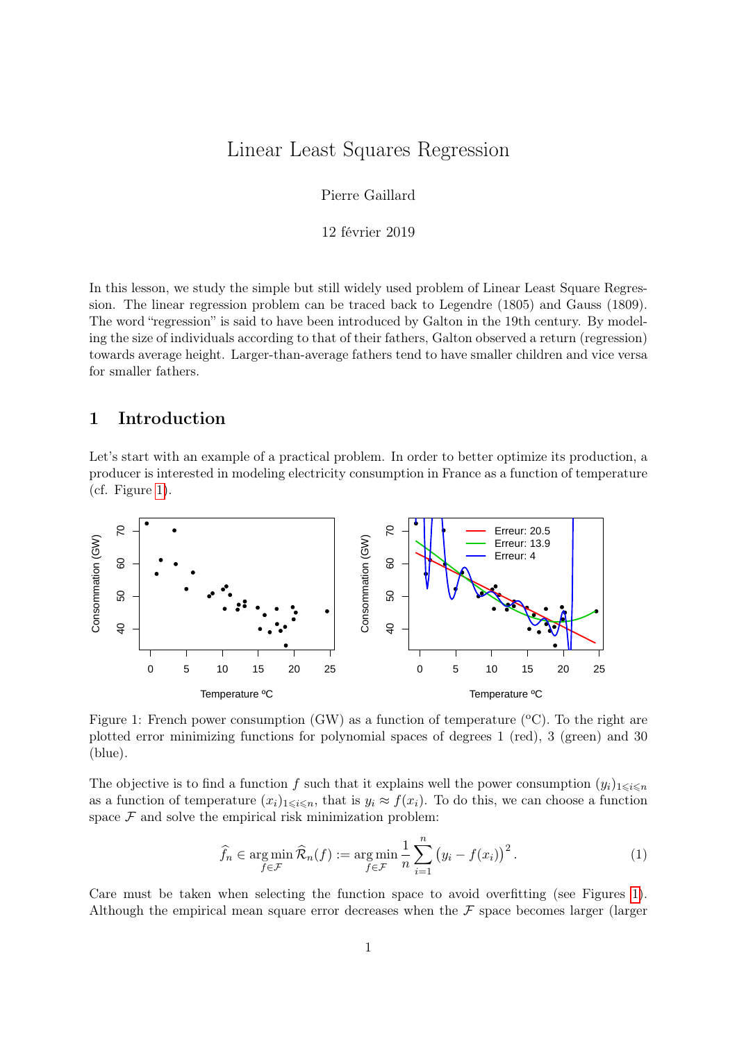# Linear Least Squares Regression

Pierre Gaillard

12 février 2019

In this lesson, we study the simple but still widely used problem of Linear Least Square Regression. The linear regression problem can be traced back to Legendre (1805) and Gauss (1809). The word "regression" is said to have been introduced by Galton in the 19th century. By modeling the size of individuals according to that of their fathers, Galton observed a return (regression) towards average height. Larger-than-average fathers tend to have smaller children and vice versa for smaller fathers.

# 1 Introduction

Let's start with an example of a practical problem. In order to better optimize its production, a producer is interested in modeling electricity consumption in France as a function of temperature (cf. Figure [1\)](#page-0-0).



<span id="page-0-0"></span>Figure 1: French power consumption (GW) as a function of temperature ( $\rm{^{\circ}C}$ ). To the right are plotted error minimizing functions for polynomial spaces of degrees 1 (red), 3 (green) and 30 (blue).

The objective is to find a function f such that it explains well the power consumption  $(y_i)_{1\leq i\leq n}$ as a function of temperature  $(x_i)_{1\leq i\leq n}$ , that is  $y_i \approx f(x_i)$ . To do this, we can choose a function space  $\mathcal F$  and solve the empirical risk minimization problem:

$$
\widehat{f}_n \in \operatorname*{arg\,min}_{f \in \mathcal{F}} \widehat{\mathcal{R}}_n(f) := \operatorname*{arg\,min}_{f \in \mathcal{F}} \frac{1}{n} \sum_{i=1}^n (y_i - f(x_i))^2.
$$
\n(1)

Care must be taken when selecting the function space to avoid overfitting (see Figures [1\)](#page-0-0). Although the empirical mean square error decreases when the  $\mathcal F$  space becomes larger (larger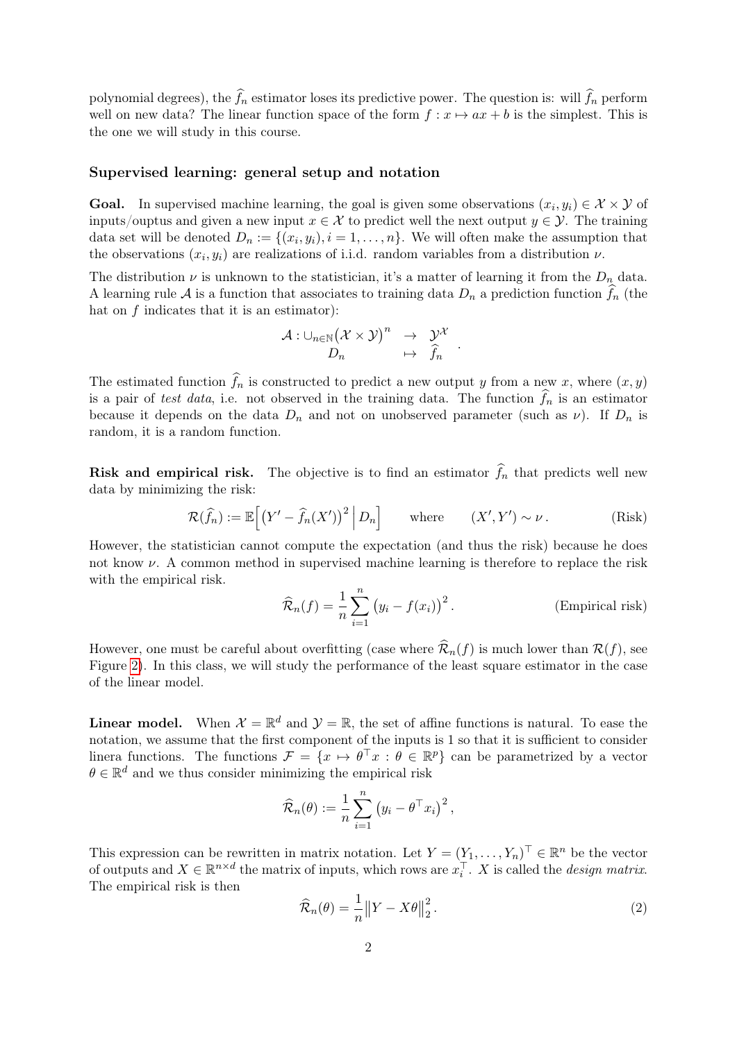polynomial degrees), the  $\hat{f}_n$  estimator loses its predictive power. The question is: will  $\hat{f}_n$  perform well on new data? The linear function space of the form  $f: x \mapsto ax + b$  is the simplest. This is the one we will study in this course.

#### Supervised learning: general setup and notation

**Goal.** In supervised machine learning, the goal is given some observations  $(x_i, y_i) \in \mathcal{X} \times \mathcal{Y}$  of inputs/ouptus and given a new input  $x \in \mathcal{X}$  to predict well the next output  $y \in \mathcal{Y}$ . The training data set will be denoted  $D_n := \{(x_i, y_i), i = 1, \ldots, n\}$ . We will often make the assumption that the observations  $(x_i, y_i)$  are realizations of i.i.d. random variables from a distribution  $\nu$ .

The distribution  $\nu$  is unknown to the statistician, it's a matter of learning it from the  $D_n$  data. A learning rule A is a function that associates to training data  $D_n$  a prediction function  $\widehat{f}_n$  (the hat on  $f$  indicates that it is an estimator):

$$
\begin{array}{rcl}\mathcal{A}:\cup_{n\in\mathbb{N}}\big(\mathcal{X}\times\mathcal{Y}\big)^n&\to&\mathcal{Y}^\mathcal{X}\\ D_n&\mapsto&\widehat{f}_n\end{array}
$$

The estimated function  $\widehat{f}_n$  is constructed to predict a new output y from a new x, where  $(x, y)$ is a pair of test data, i.e. not observed in the training data. The function  $\widehat{f}_n$  is an estimator because it depends on the data  $D_n$  and not on unobserved parameter (such as  $\nu$ ). If  $D_n$  is random, it is a random function.

**Risk and empirical risk.** The objective is to find an estimator  $\hat{f}_n$  that predicts well new data by minimizing the risk:

<span id="page-1-0"></span>
$$
\mathcal{R}(\widehat{f}_n) := \mathbb{E}\Big[\big(Y' - \widehat{f}_n(X')\big)^2 \,\Big|\, D_n\Big] \qquad \text{where} \qquad (X', Y') \sim \nu \,. \tag{Risk}
$$

However, the statistician cannot compute the expectation (and thus the risk) because he does not know  $\nu$ . A common method in supervised machine learning is therefore to replace the risk with the empirical risk.

$$
\widehat{\mathcal{R}}_n(f) = \frac{1}{n} \sum_{i=1}^n (y_i - f(x_i))^2.
$$
 (Empirical risk)

<span id="page-1-1"></span>.

However, one must be careful about overfitting (case where  $\widehat{\mathcal{R}}_n(f)$  is much lower than  $\mathcal{R}(f)$ , see Figure [2\)](#page-2-0). In this class, we will study the performance of the least square estimator in the case of the linear model.

**Linear model.** When  $\mathcal{X} = \mathbb{R}^d$  and  $\mathcal{Y} = \mathbb{R}$ , the set of affine functions is natural. To ease the notation, we assume that the first component of the inputs is 1 so that it is sufficient to consider linera functions. The functions  $\mathcal{F} = \{x \mapsto \theta^\top x : \theta \in \mathbb{R}^p\}$  can be parametrized by a vector  $\theta \in \mathbb{R}^d$  and we thus consider minimizing the empirical risk

$$
\widehat{\mathcal{R}}_n(\theta) := \frac{1}{n} \sum_{i=1}^n (y_i - \theta^\top x_i)^2,
$$

This expression can be rewritten in matrix notation. Let  $Y = (Y_1, \ldots, Y_n)^\top \in \mathbb{R}^n$  be the vector of outputs and  $X \in \mathbb{R}^{n \times d}$  the matrix of inputs, which rows are  $x_i^{\top}$ . X is called the *design matrix*. The empirical risk is then

$$
\widehat{\mathcal{R}}_n(\theta) = \frac{1}{n} \| Y - X\theta \|_2^2.
$$
\n(2)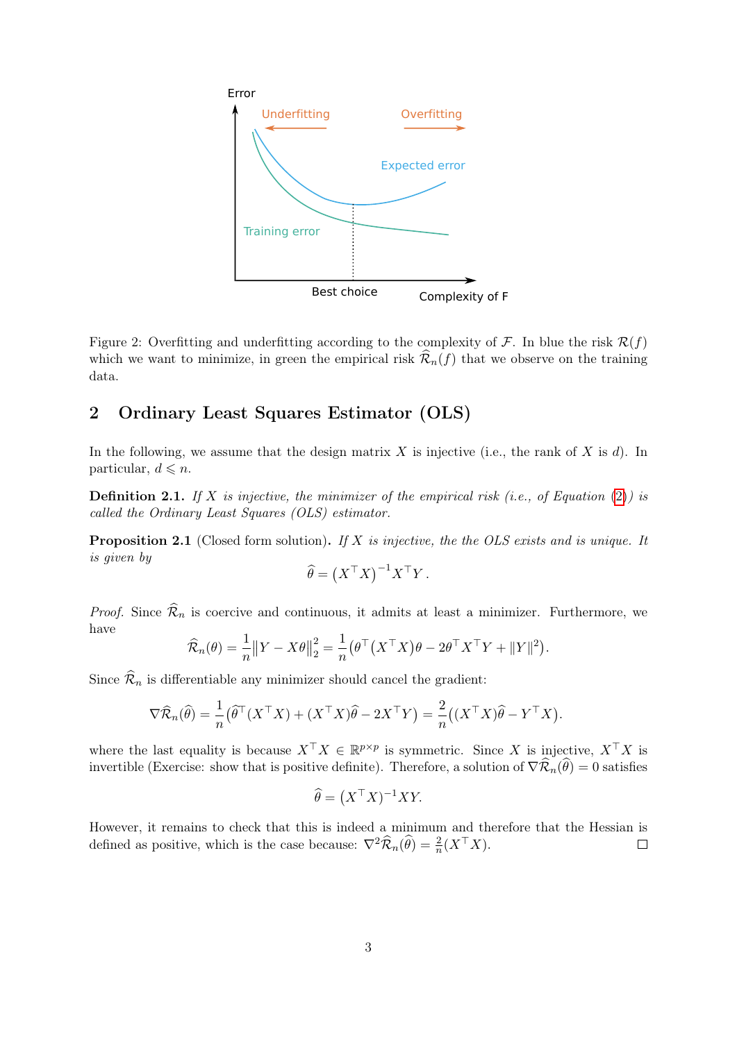

<span id="page-2-0"></span>Figure 2: Overfitting and underfitting according to the complexity of  $\mathcal F$ . In blue the risk  $\mathcal R(f)$ which we want to minimize, in green the empirical risk  $\widehat{\mathcal{R}}_n(f)$  that we observe on the training data.

# 2 Ordinary Least Squares Estimator (OLS)

In the following, we assume that the design matrix  $X$  is injective (i.e., the rank of  $X$  is  $d$ ). In particular,  $d \leq n$ .

<span id="page-2-1"></span>**Definition 2.1.** If X is injective, the minimizer of the empirical risk (i.e., of Equation [\(2\)](#page-1-0)) is called the Ordinary Least Squares (OLS) estimator.

<span id="page-2-2"></span>**Proposition 2.1** (Closed form solution). If X is injective, the the OLS exists and is unique. It is given by

$$
\widehat{\theta} = \left( X^\top X \right)^{-1} X^\top Y.
$$

*Proof.* Since  $\widehat{\mathcal{R}}_n$  is coercive and continuous, it admits at least a minimizer. Furthermore, we have

$$
\widehat{\mathcal{R}}_n(\theta) = \frac{1}{n} \|Y - X\theta\|_2^2 = \frac{1}{n} \left(\theta^\top \left(X^\top X\right)\theta - 2\theta^\top X^\top Y + \|Y\|^2\right).
$$

Since  $\widehat{\mathcal{R}}_n$  is differentiable any minimizer should cancel the gradient:

$$
\nabla \widehat{\mathcal{R}}_n(\widehat{\theta}) = \frac{1}{n} \left( \widehat{\theta}^\top (X^\top X) + (X^\top X) \widehat{\theta} - 2X^\top Y \right) = \frac{2}{n} \left( (X^\top X) \widehat{\theta} - Y^\top X \right).
$$

where the last equality is because  $X^{\top} X \in \mathbb{R}^{p \times p}$  is symmetric. Since X is injective,  $X^{\top} X$  is invertible (Exercise: show that is positive definite). Therefore, a solution of  $\nabla \widehat{\mathcal{R}}_n(\widehat{\theta}) = 0$  satisfies

$$
\widehat{\theta} = \left( X^\top X \right)^{-1} XY.
$$

However, it remains to check that this is indeed a minimum and therefore that the Hessian is defined as positive, which is the case because:  $\nabla^2 \widehat{\mathcal{R}}_n(\widehat{\theta}) = \frac{2}{n}(X^\top X)$ .  $\Box$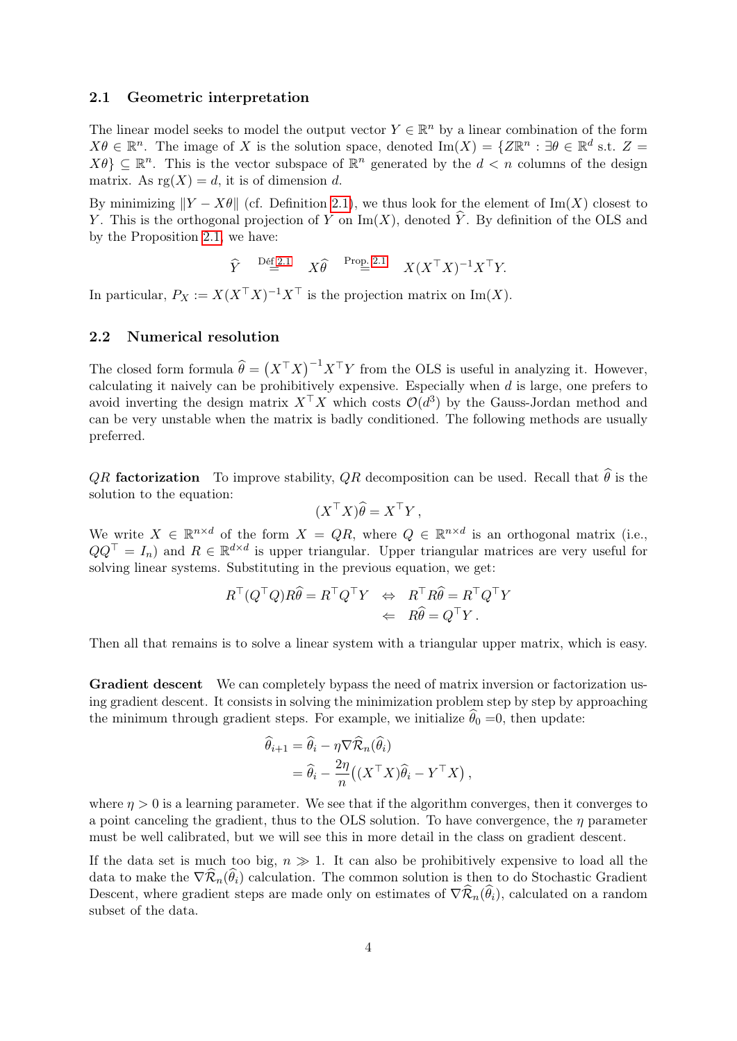#### 2.1 Geometric interpretation

The linear model seeks to model the output vector  $Y \in \mathbb{R}^n$  by a linear combination of the form  $X\theta \in \mathbb{R}^n$ . The image of X is the solution space, denoted Im $(X) = \{Z\mathbb{R}^n : \exists \theta \in \mathbb{R}^d \text{ s.t. } Z =$  $X\theta$   $\subseteq \mathbb{R}^n$ . This is the vector subspace of  $\mathbb{R}^n$  generated by the  $d < n$  columns of the design matrix. As  $\text{rg}(X) = d$ , it is of dimension d.

By minimizing  $||Y - X\theta||$  (cf. Definition [2.1\)](#page-2-1), we thus look for the element of Im(X) closest to Y. This is the orthogonal projection of Y on  $\text{Im}(X)$ , denoted  $\hat{Y}$ . By definition of the OLS and by the Proposition [2.1,](#page-2-2) we have:

$$
\widehat{Y} \stackrel{\text{Def 2.1}}{=} X \widehat{\theta} \stackrel{\text{Prop. 2.1}}{=} X(X^{\top} X)^{-1} X^{\top} Y.
$$

In particular,  $P_X := X(X^{\top}X)^{-1}X^{\top}$  is the projection matrix on  $\text{Im}(X)$ .

#### 2.2 Numerical resolution

The closed form formula  $\hat{\theta} = (X^{\top}X)^{-1}X^{\top}Y$  from the OLS is useful in analyzing it. However, calculating it naively can be prohibitively expensive. Especially when  $d$  is large, one prefers to avoid inverting the design matrix  $X^{\top} X$  which costs  $\mathcal{O}(d^3)$  by the Gauss-Jordan method and can be very unstable when the matrix is badly conditioned. The following methods are usually preferred.

*QR* factorization To improve stability, *QR* decomposition can be used. Recall that  $\hat{\theta}$  is the solution to the equation:

$$
(X^{\top}X)\widehat{\theta} = X^{\top}Y,
$$

We write  $X \in \mathbb{R}^{n \times d}$  of the form  $X = QR$ , where  $Q \in \mathbb{R}^{n \times d}$  is an orthogonal matrix (i.e.,  $QQ^{\top} = I_n$  and  $R \in \mathbb{R}^{d \times d}$  is upper triangular. Upper triangular matrices are very useful for solving linear systems. Substituting in the previous equation, we get:

$$
R^{\top}(Q^{\top}Q)R\hat{\theta} = R^{\top}Q^{\top}Y \Leftrightarrow R^{\top}R\hat{\theta} = R^{\top}Q^{\top}Y \n\Leftarrow R\hat{\theta} = Q^{\top}Y.
$$

Then all that remains is to solve a linear system with a triangular upper matrix, which is easy.

Gradient descent We can completely bypass the need of matrix inversion or factorization using gradient descent. It consists in solving the minimization problem step by step by approaching the minimum through gradient steps. For example, we initialize  $\hat{\theta}_0 = 0$ , then update:

$$
\begin{aligned}\n\widehat{\theta}_{i+1} &= \widehat{\theta}_{i} - \eta \nabla \widehat{\mathcal{R}}_{n}(\widehat{\theta}_{i}) \\
&= \widehat{\theta}_{i} - \frac{2\eta}{n} \big( (X^{\top}X)\widehat{\theta}_{i} - Y^{\top}X \big) \,,\n\end{aligned}
$$

where  $\eta > 0$  is a learning parameter. We see that if the algorithm converges, then it converges to a point canceling the gradient, thus to the OLS solution. To have convergence, the  $\eta$  parameter must be well calibrated, but we will see this in more detail in the class on gradient descent.

If the data set is much too big,  $n \gg 1$ . It can also be prohibitively expensive to load all the data to make the  $\nabla \widehat{\mathcal{R}}_n(\widehat{\theta}_i)$  calculation. The common solution is then to do Stochastic Gradient Descent, where gradient steps are made only on estimates of  $\nabla \widehat{\mathcal{R}}_n(\widehat{\theta}_i)$ , calculated on a random subset of the data.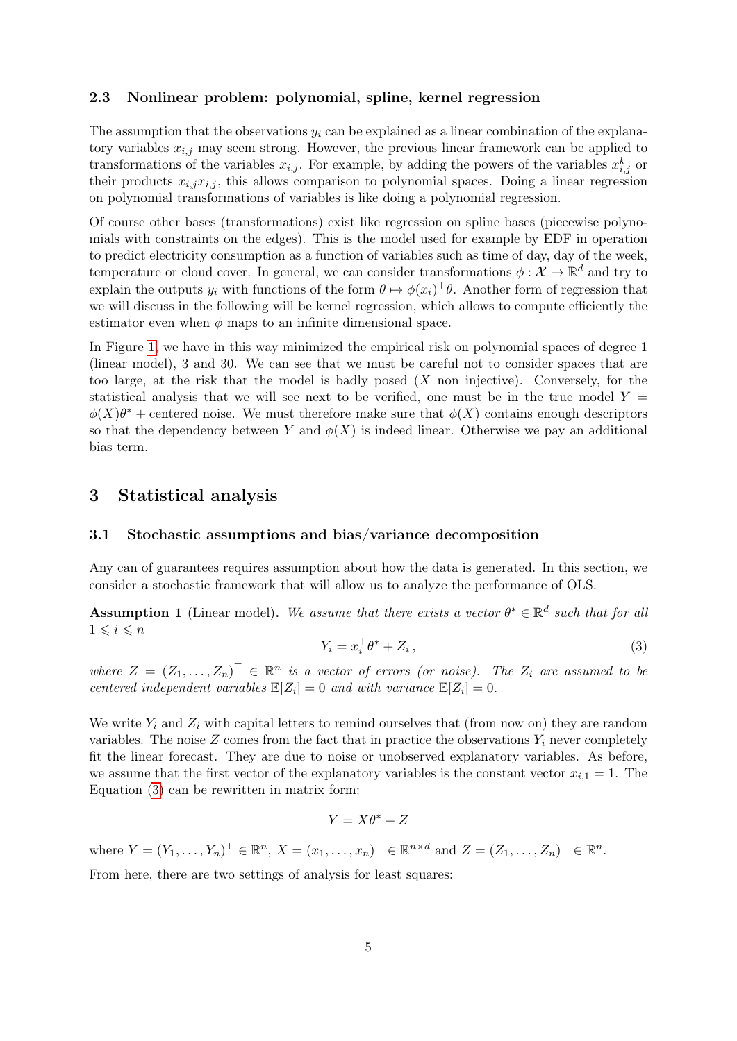#### 2.3 Nonlinear problem: polynomial, spline, kernel regression

The assumption that the observations  $y_i$  can be explained as a linear combination of the explanatory variables  $x_{i,j}$  may seem strong. However, the previous linear framework can be applied to transformations of the variables  $x_{i,j}$ . For example, by adding the powers of the variables  $x_{i,j}^k$  or their products  $x_{i,j}x_{i,j}$ , this allows comparison to polynomial spaces. Doing a linear regression on polynomial transformations of variables is like doing a polynomial regression.

Of course other bases (transformations) exist like regression on spline bases (piecewise polynomials with constraints on the edges). This is the model used for example by EDF in operation to predict electricity consumption as a function of variables such as time of day, day of the week, temperature or cloud cover. In general, we can consider transformations  $\phi: \mathcal{X} \to \mathbb{R}^d$  and try to explain the outputs  $y_i$  with functions of the form  $\theta \mapsto \phi(x_i)^\top \theta$ . Another form of regression that we will discuss in the following will be kernel regression, which allows to compute efficiently the estimator even when  $\phi$  maps to an infinite dimensional space.

In Figure [1,](#page-0-0) we have in this way minimized the empirical risk on polynomial spaces of degree 1 (linear model), 3 and 30. We can see that we must be careful not to consider spaces that are too large, at the risk that the model is badly posed  $(X \text{ non injective})$ . Conversely, for the statistical analysis that we will see next to be verified, one must be in the true model  $Y =$  $\phi(X)\theta^*$  + centered noise. We must therefore make sure that  $\phi(X)$  contains enough descriptors so that the dependency between Y and  $\phi(X)$  is indeed linear. Otherwise we pay an additional bias term.

### 3 Statistical analysis

#### 3.1 Stochastic assumptions and bias/variance decomposition

Any can of guarantees requires assumption about how the data is generated. In this section, we consider a stochastic framework that will allow us to analyze the performance of OLS.

<span id="page-4-1"></span>**Assumption 1** (Linear model). We assume that there exists a vector  $\theta^* \in \mathbb{R}^d$  such that for all  $1 \leqslant i \leqslant n$ 

<span id="page-4-0"></span>
$$
Y_i = x_i^\top \theta^* + Z_i \,, \tag{3}
$$

where  $Z = (Z_1, \ldots, Z_n)^\top \in \mathbb{R}^n$  is a vector of errors (or noise). The  $Z_i$  are assumed to be centered independent variables  $\mathbb{E}[Z_i] = 0$  and with variance  $\mathbb{E}[Z_i] = 0$ .

We write  $Y_i$  and  $Z_i$  with capital letters to remind ourselves that (from now on) they are random variables. The noise  $Z$  comes from the fact that in practice the observations  $Y_i$  never completely fit the linear forecast. They are due to noise or unobserved explanatory variables. As before, we assume that the first vector of the explanatory variables is the constant vector  $x_{i,1} = 1$ . The Equation [\(3\)](#page-4-0) can be rewritten in matrix form:

$$
Y = X\theta^* + Z
$$

where  $Y = (Y_1, \ldots, Y_n)^\top \in \mathbb{R}^n$ ,  $X = (x_1, \ldots, x_n)^\top \in \mathbb{R}^{n \times d}$  and  $Z = (Z_1, \ldots, Z_n)^\top \in \mathbb{R}^n$ .

From here, there are two settings of analysis for least squares: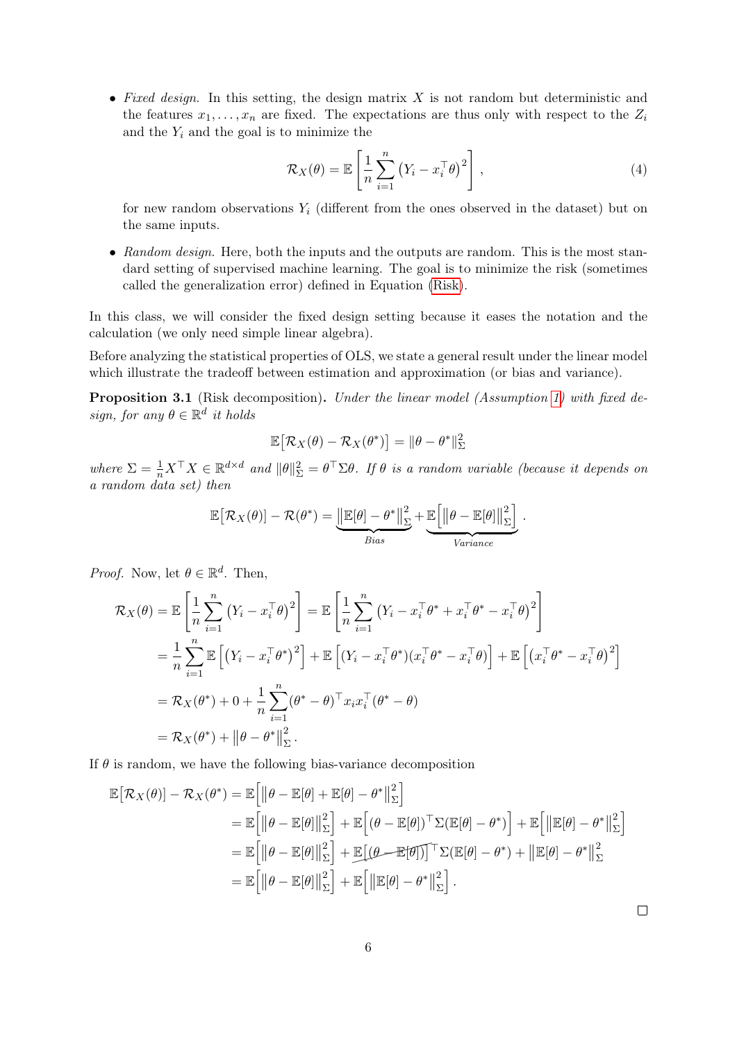• Fixed design. In this setting, the design matrix  $X$  is not random but deterministic and the features  $x_1, \ldots, x_n$  are fixed. The expectations are thus only with respect to the  $Z_i$ and the  $Y_i$  and the goal is to minimize the

$$
\mathcal{R}_X(\theta) = \mathbb{E}\left[\frac{1}{n}\sum_{i=1}^n (Y_i - x_i^\top \theta)^2\right],\tag{4}
$$

for new random observations  $Y_i$  (different from the ones observed in the dataset) but on the same inputs.

• Random design. Here, both the inputs and the outputs are random. This is the most standard setting of supervised machine learning. The goal is to minimize the risk (sometimes called the generalization error) defined in Equation [\(Risk\)](#page-1-1).

In this class, we will consider the fixed design setting because it eases the notation and the calculation (we only need simple linear algebra).

Before analyzing the statistical properties of OLS, we state a general result under the linear model which illustrate the tradeoff between estimation and approximation (or bias and variance).

<span id="page-5-0"></span>Proposition 3.1 (Risk decomposition). Under the linear model (Assumption [1\)](#page-4-1) with fixed design, for any  $\theta \in \mathbb{R}^d$  it holds

$$
\mathbb{E}\big[\mathcal{R}_X(\theta)-\mathcal{R}_X(\theta^*)\big]=\|\theta-\theta^*\|_{\Sigma}^2
$$

where  $\Sigma = \frac{1}{n} X^\top X \in \mathbb{R}^{d \times d}$  and  $\|\theta\|_{\Sigma}^2 = \theta^\top \Sigma \theta$ . If  $\theta$  is a random variable (because it depends on a random data set) then

$$
\mathbb{E}\big[\mathcal{R}_X(\theta)\big] - \mathcal{R}(\theta^*) = \underbrace{\big\|\mathbb{E}[\theta] - \theta^*\big\|_{\Sigma}^2}_{Bias} + \underbrace{\mathbb{E}\big[\big\|\theta - \mathbb{E}[\theta]\big\|_{\Sigma}^2}\big]}_{Variance}.
$$

*Proof.* Now, let  $\theta \in \mathbb{R}^d$ . Then,

$$
\mathcal{R}_X(\theta) = \mathbb{E}\left[\frac{1}{n}\sum_{i=1}^n (Y_i - x_i^\top \theta)^2\right] = \mathbb{E}\left[\frac{1}{n}\sum_{i=1}^n (Y_i - x_i^\top \theta^* + x_i^\top \theta^* - x_i^\top \theta)^2\right]
$$
  
\n
$$
= \frac{1}{n}\sum_{i=1}^n \mathbb{E}\left[(Y_i - x_i^\top \theta^*)^2\right] + \mathbb{E}\left[(Y_i - x_i^\top \theta^*)(x_i^\top \theta^* - x_i^\top \theta)\right] + \mathbb{E}\left[(x_i^\top \theta^* - x_i^\top \theta)^2\right]
$$
  
\n
$$
= \mathcal{R}_X(\theta^*) + 0 + \frac{1}{n}\sum_{i=1}^n (\theta^* - \theta)^\top x_i x_i^\top (\theta^* - \theta)
$$
  
\n
$$
= \mathcal{R}_X(\theta^*) + ||\theta - \theta^*||^2_{\Sigma}.
$$

If  $\theta$  is random, we have the following bias-variance decomposition

$$
\mathbb{E}[\mathcal{R}_X(\theta)] - \mathcal{R}_X(\theta^*) = \mathbb{E}\Big[\|\theta - \mathbb{E}[\theta] + \mathbb{E}[\theta] - \theta^*\|_{\Sigma}^2\Big]
$$
  
\n
$$
= \mathbb{E}\Big[\|\theta - \mathbb{E}[\theta]\|_{\Sigma}^2\Big] + \mathbb{E}\Big[(\theta - \mathbb{E}[\theta])^{\top}\Sigma(\mathbb{E}[\theta] - \theta^*)\Big] + \mathbb{E}\Big[\|\mathbb{E}[\theta] - \theta^*\|_{\Sigma}^2\Big]
$$
  
\n
$$
= \mathbb{E}\Big[\|\theta - \mathbb{E}[\theta]\|_{\Sigma}^2\Big] + \mathbb{E}\Big[(\theta - \mathbb{E}[\theta])^{\top}\Sigma(\mathbb{E}[\theta] - \theta^*) + \|\mathbb{E}[\theta] - \theta^*\|_{\Sigma}^2\Big]
$$
  
\n
$$
= \mathbb{E}\Big[\|\theta - \mathbb{E}[\theta]\|_{\Sigma}^2\Big] + \mathbb{E}\Big[\|\mathbb{E}[\theta] - \theta^*\|_{\Sigma}^2\Big].
$$

 $\Box$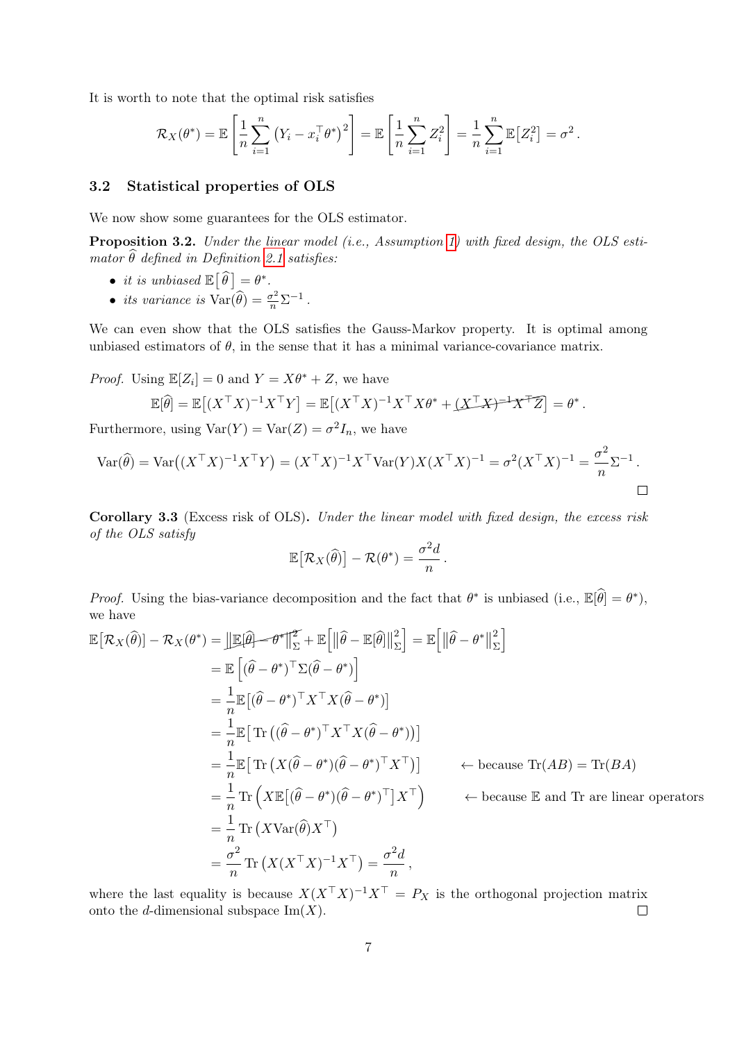It is worth to note that the optimal risk satisfies

$$
\mathcal{R}_X(\theta^*) = \mathbb{E}\left[\frac{1}{n}\sum_{i=1}^n \left(Y_i - x_i^\top \theta^*\right)^2\right] = \mathbb{E}\left[\frac{1}{n}\sum_{i=1}^n Z_i^2\right] = \frac{1}{n}\sum_{i=1}^n \mathbb{E}\left[Z_i^2\right] = \sigma^2.
$$

#### 3.2 Statistical properties of OLS

We now show some guarantees for the OLS estimator.

<span id="page-6-0"></span>Proposition 3.2. Under the linear model (i.e., Assumption [1\)](#page-4-1) with fixed design, the OLS estimator  $\hat{\theta}$  defined in Definition [2.1](#page-2-1) satisfies:

- it is unbiased  $\mathbb{E}[\widehat{\theta}] = \theta^*$ .
- its variance is  $\text{Var}(\widehat{\theta}) = \frac{\sigma^2}{n} \Sigma^{-1}$ .

We can even show that the OLS satisfies the Gauss-Markov property. It is optimal among unbiased estimators of  $\theta$ , in the sense that it has a minimal variance-covariance matrix.

*Proof.* Using  $\mathbb{E}[Z_i] = 0$  and  $Y = X\theta^* + Z$ , we have  $\mathbb{E}[\widehat{\theta}] = \mathbb{E}\left[ (X^\top X)^{-1} X^\top Y \right] = \mathbb{E}\left[ (X^\top X)^{-1} X^\top X \theta^* + \underline{(X^\top X)^{-1} X^\top Z} \right] = \theta^*.$ 

Furthermore, using  $Var(Y) = Var(Z) = \sigma^2 I_n$ , we have

$$
Var(\widehat{\theta}) = Var((X^{\top}X)^{-1}X^{\top}Y) = (X^{\top}X)^{-1}X^{\top}Var(Y)X(X^{\top}X)^{-1} = \sigma^{2}(X^{\top}X)^{-1} = \frac{\sigma^{2}}{n}\Sigma^{-1}.
$$

Corollary 3.3 (Excess risk of OLS). Under the linear model with fixed design, the excess risk of the OLS satisfy

$$
\mathbb{E}\big[\mathcal{R}_X(\widehat{\theta})\big] - \mathcal{R}(\theta^*) = \frac{\sigma^2 d}{n}.
$$

*Proof.* Using the bias-variance decomposition and the fact that  $\theta^*$  is unbiased (i.e.,  $\mathbb{E}[\hat{\theta}] = \theta^*$ ), we have

$$
\mathbb{E}[\mathcal{R}_{X}(\hat{\theta})] - \mathcal{R}_{X}(\theta^{*}) = \|\mathbb{E}[\hat{\theta}] - \theta^{*}\|_{\Sigma}^{2} + \mathbb{E}\left[\|\hat{\theta} - \mathbb{E}[\hat{\theta}]\|_{\Sigma}^{2}\right] = \mathbb{E}\left[\|\hat{\theta} - \theta^{*}\|_{\Sigma}^{2}\right]
$$
\n
$$
= \mathbb{E}\left[(\hat{\theta} - \theta^{*})^{\top}\Sigma(\hat{\theta} - \theta^{*})\right]
$$
\n
$$
= \frac{1}{n}\mathbb{E}[(\hat{\theta} - \theta^{*})^{\top}X^{\top}X(\hat{\theta} - \theta^{*})]
$$
\n
$$
= \frac{1}{n}\mathbb{E}[\text{Tr}\left((\hat{\theta} - \theta^{*})^{\top}X^{\top}X(\hat{\theta} - \theta^{*})\right)]
$$
\n
$$
= \frac{1}{n}\mathbb{E}[\text{Tr}\left(X(\hat{\theta} - \theta^{*})(\hat{\theta} - \theta^{*})^{\top}X^{\top}\right)] \quad \leftarrow \text{ because Tr}(AB) = \text{Tr}(BA)
$$
\n
$$
= \frac{1}{n}\text{Tr}\left(X\mathbb{E}[(\hat{\theta} - \theta^{*})(\hat{\theta} - \theta^{*})^{\top}]X^{\top}\right) \quad \leftarrow \text{ because E and Tr are linear operators}
$$
\n
$$
= \frac{1}{n}\text{Tr}\left(X\text{Var}(\hat{\theta})X^{\top}\right)
$$
\n
$$
= \frac{\sigma^{2}}{n}\text{Tr}\left(X(X^{\top}X)^{-1}X^{\top}\right) = \frac{\sigma^{2}d}{n},
$$

where the last equality is because  $X(X^{\top}X)^{-1}X^{\top} = P_X$  is the orthogonal projection matrix onto the d-dimensional subspace  $\text{Im}(X)$ .  $\Box$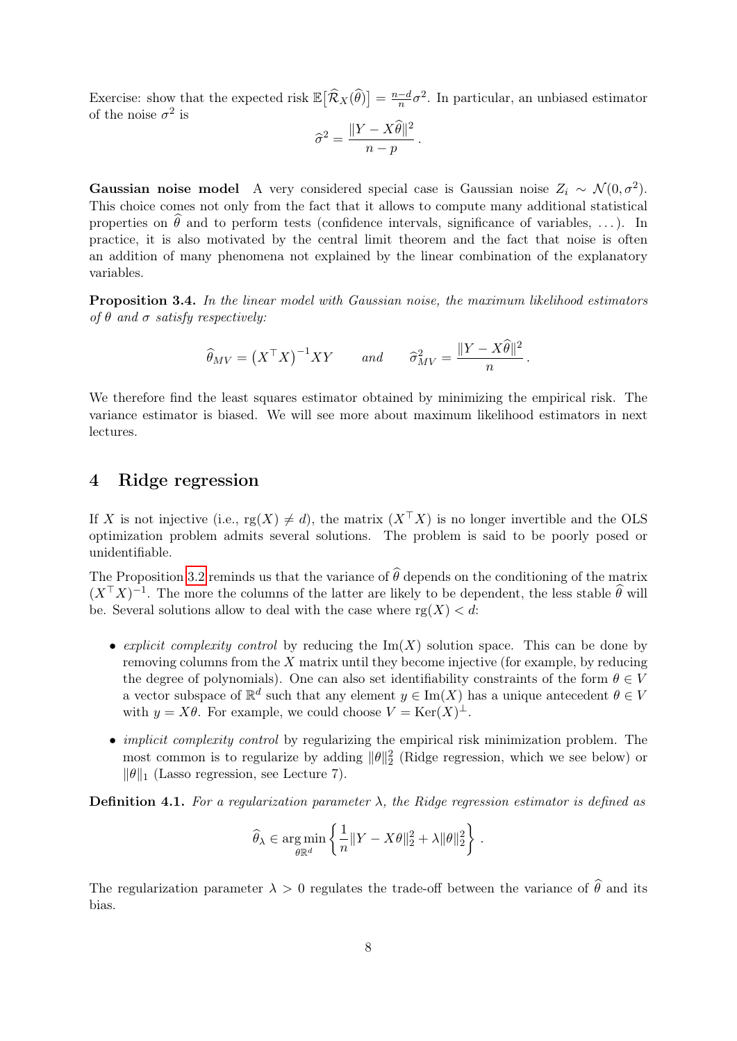Exercise: show that the expected risk  $\mathbb{E} [\hat{\mathcal{R}}_X(\hat{\theta})] = \frac{n-d}{n}$  $\frac{-d}{n}\sigma^2$ . In particular, an unbiased estimator of the noise  $\sigma^2$  is

$$
\widehat{\sigma}^2 = \frac{\|Y - X\widehat{\theta}\|^2}{n - p}.
$$

Gaussian noise model A very considered special case is Gaussian noise  $Z_i \sim \mathcal{N}(0, \sigma^2)$ . This choice comes not only from the fact that it allows to compute many additional statistical properties on  $\hat{\theta}$  and to perform tests (confidence intervals, significance of variables, ...). In practice, it is also motivated by the central limit theorem and the fact that noise is often an addition of many phenomena not explained by the linear combination of the explanatory variables.

Proposition 3.4. In the linear model with Gaussian noise, the maximum likelihood estimators of  $\theta$  and  $\sigma$  satisfy respectively:

$$
\widehat{\theta}_{MV} = (X^{\top} X)^{-1} XY
$$
 and  $\widehat{\sigma}_{MV}^2 = \frac{\|Y - X\widehat{\theta}\|^2}{n}$ .

We therefore find the least squares estimator obtained by minimizing the empirical risk. The variance estimator is biased. We will see more about maximum likelihood estimators in next lectures.

# 4 Ridge regression

If X is not injective (i.e.,  $rg(X) \neq d$ ), the matrix  $(X^{\top}X)$  is no longer invertible and the OLS optimization problem admits several solutions. The problem is said to be poorly posed or unidentifiable.

The Proposition [3.2](#page-6-0) reminds us that the variance of  $\hat{\theta}$  depends on the conditioning of the matrix  $(X^{\top} X)^{-1}$ . The more the columns of the latter are likely to be dependent, the less stable  $\hat{\theta}$  will be. Several solutions allow to deal with the case where  $rg(X) < d$ :

- explicit complexity control by reducing the  $\text{Im}(X)$  solution space. This can be done by removing columns from the  $X$  matrix until they become injective (for example, by reducing the degree of polynomials). One can also set identifiability constraints of the form  $\theta \in V$ a vector subspace of  $\mathbb{R}^d$  such that any element  $y \in \text{Im}(X)$  has a unique antecedent  $\theta \in V$ with  $y = X\theta$ . For example, we could choose  $V = \text{Ker}(X)^{\perp}$ .
- *implicit complexity control* by regularizing the empirical risk minimization problem. The most common is to regularize by adding  $\|\theta\|_2^2$  (Ridge regression, which we see below) or  $\|\theta\|_1$  (Lasso regression, see Lecture 7).

**Definition 4.1.** For a regularization parameter  $\lambda$ , the Ridge regression estimator is defined as

$$
\widehat{\theta}_{\lambda} \in \underset{\theta \to 0}{\arg \min} \left\{ \frac{1}{n} ||Y - X\theta||_2^2 + \lambda ||\theta||_2^2 \right\}.
$$

The regularization parameter  $\lambda > 0$  regulates the trade-off between the variance of  $\hat{\theta}$  and its bias.